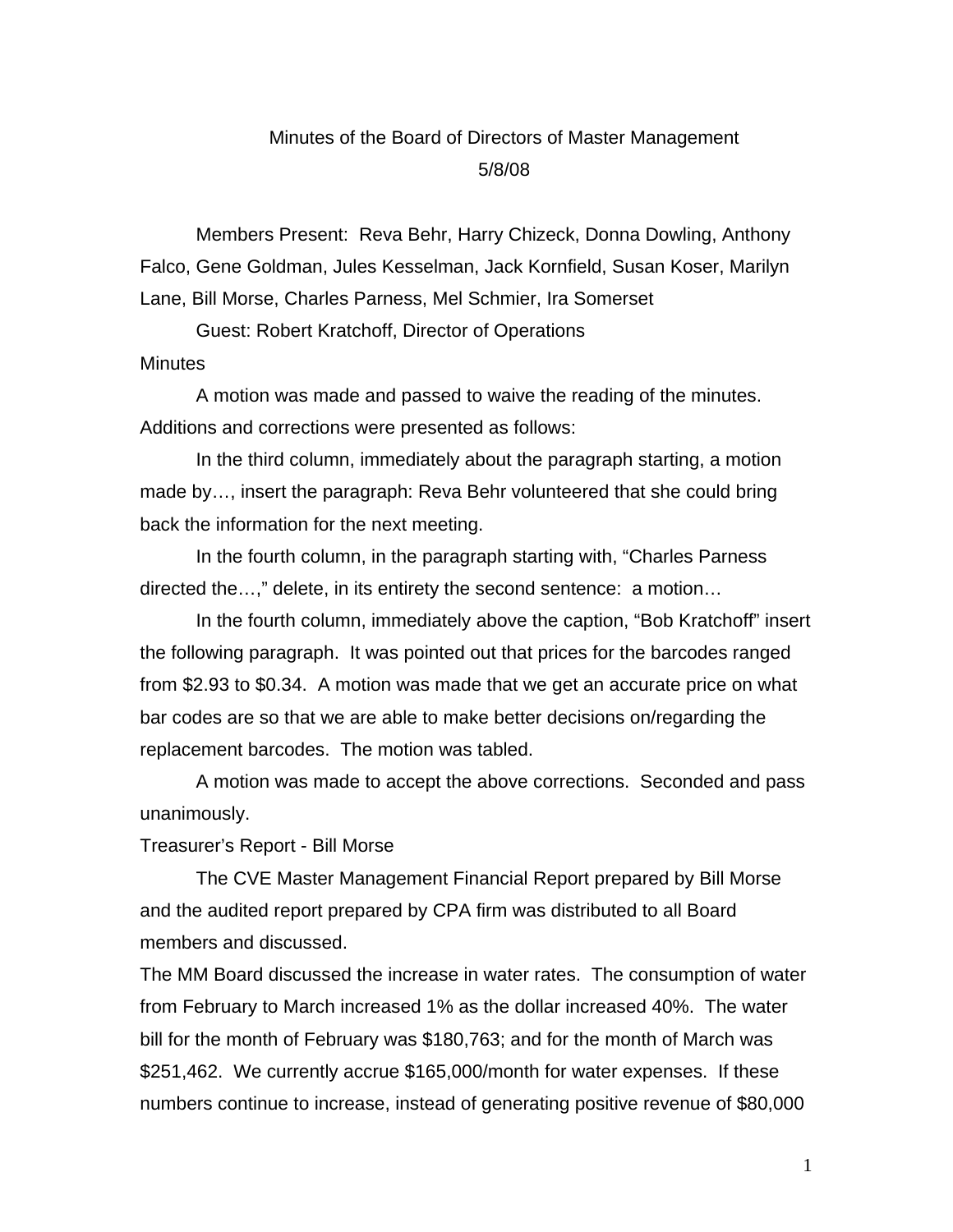# Minutes of the Board of Directors of Master Management 5/8/08

Members Present: Reva Behr, Harry Chizeck, Donna Dowling, Anthony Falco, Gene Goldman, Jules Kesselman, Jack Kornfield, Susan Koser, Marilyn Lane, Bill Morse, Charles Parness, Mel Schmier, Ira Somerset

Guest: Robert Kratchoff, Director of Operations

# **Minutes**

A motion was made and passed to waive the reading of the minutes. Additions and corrections were presented as follows:

In the third column, immediately about the paragraph starting, a motion made by…, insert the paragraph: Reva Behr volunteered that she could bring back the information for the next meeting.

In the fourth column, in the paragraph starting with, "Charles Parness directed the…," delete, in its entirety the second sentence: a motion…

In the fourth column, immediately above the caption, "Bob Kratchoff" insert the following paragraph. It was pointed out that prices for the barcodes ranged from \$2.93 to \$0.34. A motion was made that we get an accurate price on what bar codes are so that we are able to make better decisions on/regarding the replacement barcodes. The motion was tabled.

A motion was made to accept the above corrections. Seconded and pass unanimously.

Treasurer's Report - Bill Morse

The CVE Master Management Financial Report prepared by Bill Morse and the audited report prepared by CPA firm was distributed to all Board members and discussed.

The MM Board discussed the increase in water rates. The consumption of water from February to March increased 1% as the dollar increased 40%. The water bill for the month of February was \$180,763; and for the month of March was \$251,462. We currently accrue \$165,000/month for water expenses. If these numbers continue to increase, instead of generating positive revenue of \$80,000

1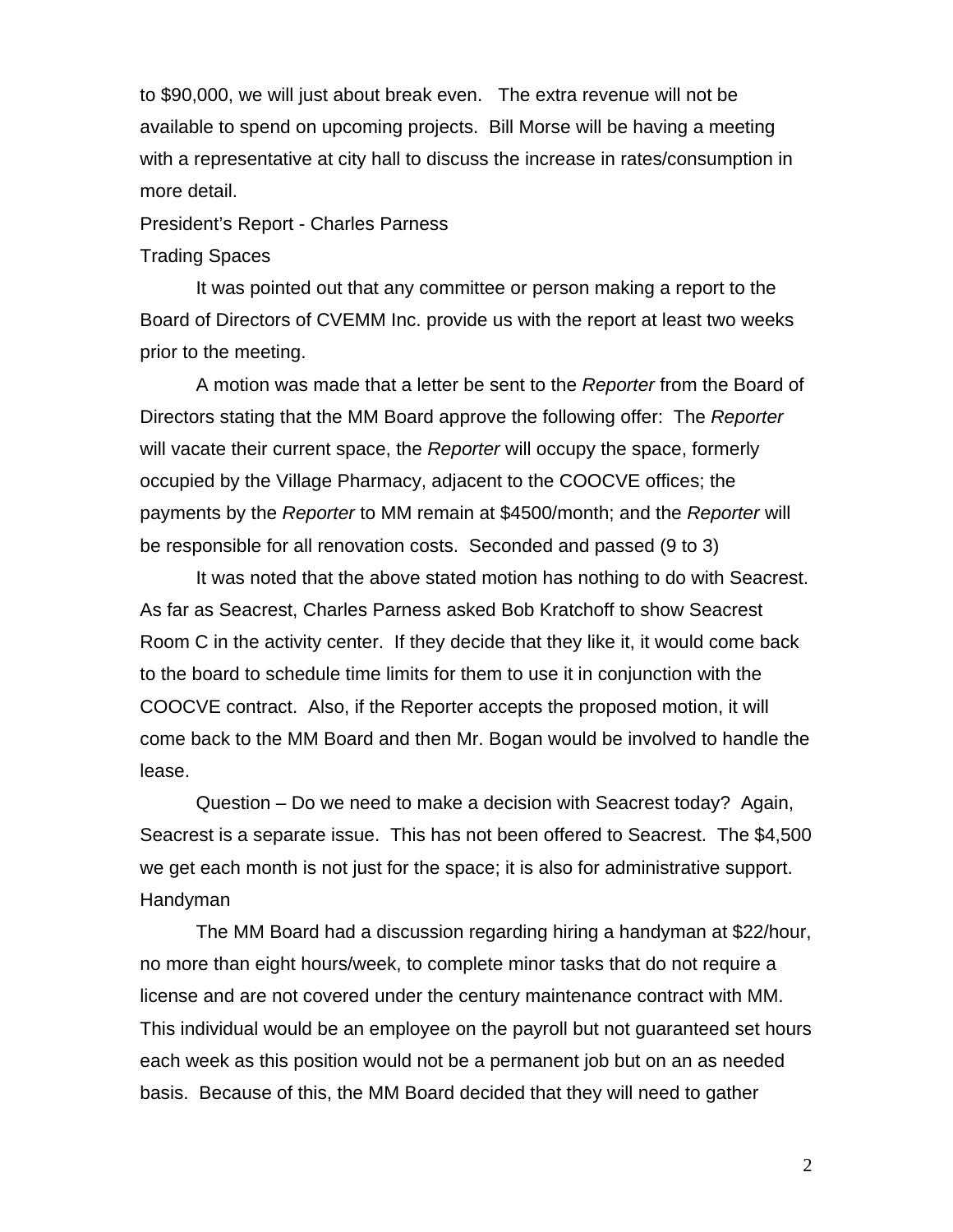to \$90,000, we will just about break even. The extra revenue will not be available to spend on upcoming projects. Bill Morse will be having a meeting with a representative at city hall to discuss the increase in rates/consumption in more detail.

President's Report - Charles Parness

### Trading Spaces

It was pointed out that any committee or person making a report to the Board of Directors of CVEMM Inc. provide us with the report at least two weeks prior to the meeting.

A motion was made that a letter be sent to the *Reporter* from the Board of Directors stating that the MM Board approve the following offer: The *Reporter* will vacate their current space, the *Reporter* will occupy the space, formerly occupied by the Village Pharmacy, adjacent to the COOCVE offices; the payments by the *Reporter* to MM remain at \$4500/month; and the *Reporter* will be responsible for all renovation costs. Seconded and passed (9 to 3)

It was noted that the above stated motion has nothing to do with Seacrest. As far as Seacrest, Charles Parness asked Bob Kratchoff to show Seacrest Room C in the activity center. If they decide that they like it, it would come back to the board to schedule time limits for them to use it in conjunction with the COOCVE contract. Also, if the Reporter accepts the proposed motion, it will come back to the MM Board and then Mr. Bogan would be involved to handle the lease.

Question – Do we need to make a decision with Seacrest today? Again, Seacrest is a separate issue. This has not been offered to Seacrest. The \$4,500 we get each month is not just for the space; it is also for administrative support. Handyman

The MM Board had a discussion regarding hiring a handyman at \$22/hour, no more than eight hours/week, to complete minor tasks that do not require a license and are not covered under the century maintenance contract with MM. This individual would be an employee on the payroll but not guaranteed set hours each week as this position would not be a permanent job but on an as needed basis. Because of this, the MM Board decided that they will need to gather

2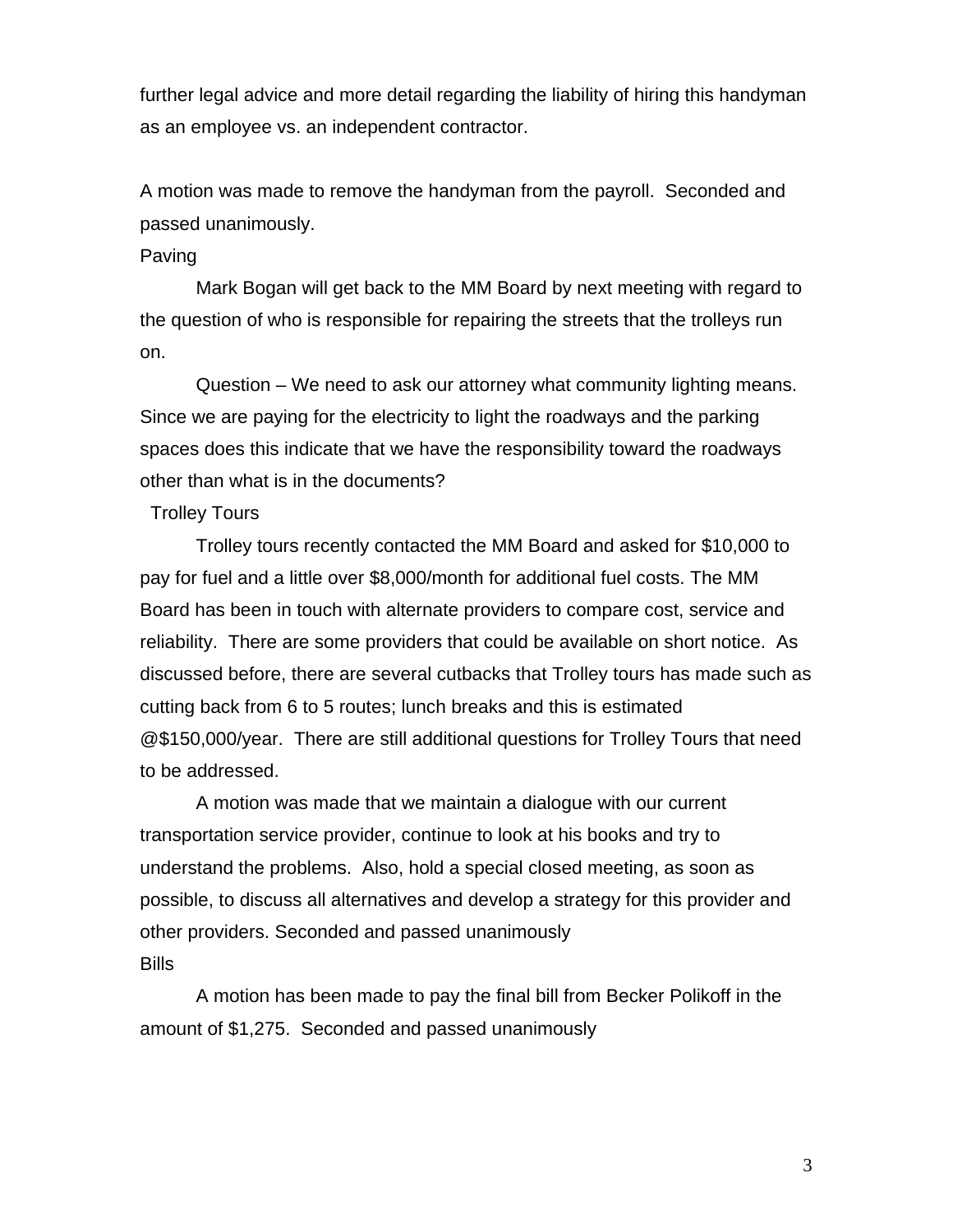further legal advice and more detail regarding the liability of hiring this handyman as an employee vs. an independent contractor.

A motion was made to remove the handyman from the payroll. Seconded and passed unanimously.

## Paving

Mark Bogan will get back to the MM Board by next meeting with regard to the question of who is responsible for repairing the streets that the trolleys run on.

Question – We need to ask our attorney what community lighting means. Since we are paying for the electricity to light the roadways and the parking spaces does this indicate that we have the responsibility toward the roadways other than what is in the documents?

# Trolley Tours

Trolley tours recently contacted the MM Board and asked for \$10,000 to pay for fuel and a little over \$8,000/month for additional fuel costs. The MM Board has been in touch with alternate providers to compare cost, service and reliability. There are some providers that could be available on short notice. As discussed before, there are several cutbacks that Trolley tours has made such as cutting back from 6 to 5 routes; lunch breaks and this is estimated @\$150,000/year. There are still additional questions for Trolley Tours that need to be addressed.

A motion was made that we maintain a dialogue with our current transportation service provider, continue to look at his books and try to understand the problems. Also, hold a special closed meeting, as soon as possible, to discuss all alternatives and develop a strategy for this provider and other providers. Seconded and passed unanimously **Bills** 

A motion has been made to pay the final bill from Becker Polikoff in the amount of \$1,275. Seconded and passed unanimously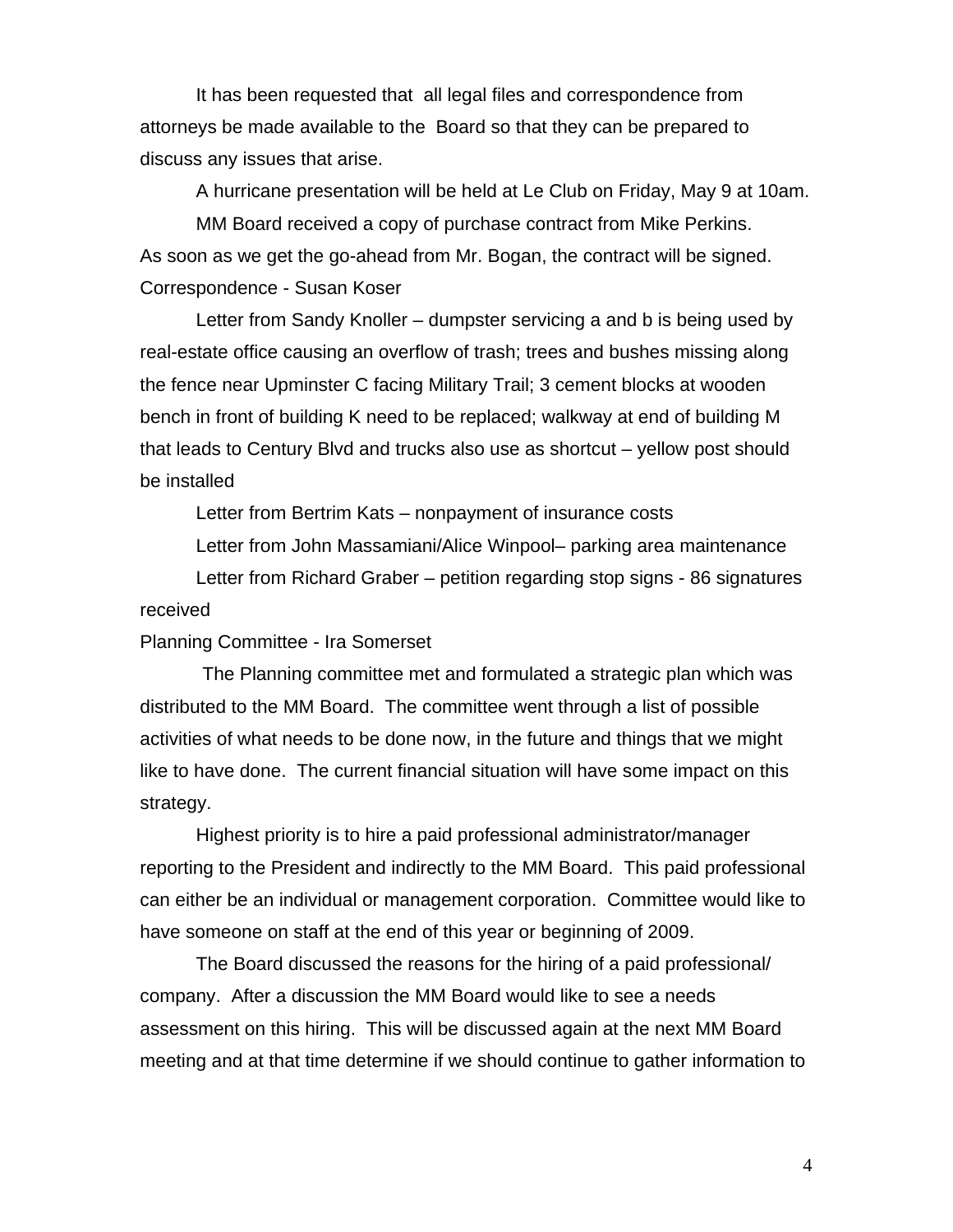It has been requested that all legal files and correspondence from attorneys be made available to the Board so that they can be prepared to discuss any issues that arise.

A hurricane presentation will be held at Le Club on Friday, May 9 at 10am.

MM Board received a copy of purchase contract from Mike Perkins. As soon as we get the go-ahead from Mr. Bogan, the contract will be signed. Correspondence - Susan Koser

Letter from Sandy Knoller – dumpster servicing a and b is being used by real-estate office causing an overflow of trash; trees and bushes missing along the fence near Upminster C facing Military Trail; 3 cement blocks at wooden bench in front of building K need to be replaced; walkway at end of building M that leads to Century Blvd and trucks also use as shortcut – yellow post should be installed

Letter from Bertrim Kats – nonpayment of insurance costs

Letter from John Massamiani/Alice Winpool– parking area maintenance Letter from Richard Graber – petition regarding stop signs - 86 signatures received

Planning Committee - Ira Somerset

 The Planning committee met and formulated a strategic plan which was distributed to the MM Board. The committee went through a list of possible activities of what needs to be done now, in the future and things that we might like to have done. The current financial situation will have some impact on this strategy.

Highest priority is to hire a paid professional administrator/manager reporting to the President and indirectly to the MM Board. This paid professional can either be an individual or management corporation. Committee would like to have someone on staff at the end of this year or beginning of 2009.

The Board discussed the reasons for the hiring of a paid professional/ company. After a discussion the MM Board would like to see a needs assessment on this hiring. This will be discussed again at the next MM Board meeting and at that time determine if we should continue to gather information to

4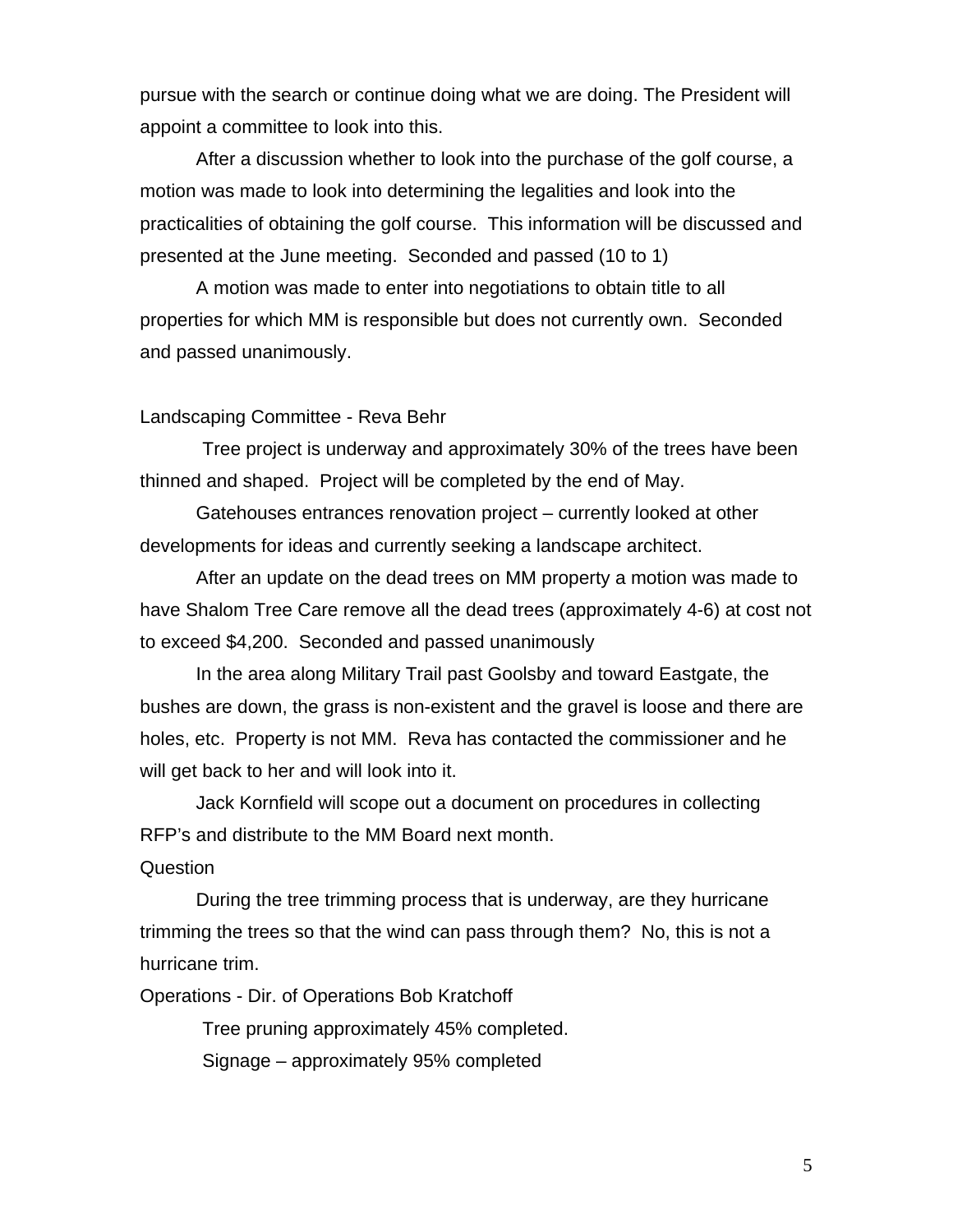pursue with the search or continue doing what we are doing. The President will appoint a committee to look into this.

After a discussion whether to look into the purchase of the golf course, a motion was made to look into determining the legalities and look into the practicalities of obtaining the golf course. This information will be discussed and presented at the June meeting. Seconded and passed (10 to 1)

A motion was made to enter into negotiations to obtain title to all properties for which MM is responsible but does not currently own. Seconded and passed unanimously.

#### Landscaping Committee - Reva Behr

 Tree project is underway and approximately 30% of the trees have been thinned and shaped. Project will be completed by the end of May.

Gatehouses entrances renovation project – currently looked at other developments for ideas and currently seeking a landscape architect.

After an update on the dead trees on MM property a motion was made to have Shalom Tree Care remove all the dead trees (approximately 4-6) at cost not to exceed \$4,200. Seconded and passed unanimously

In the area along Military Trail past Goolsby and toward Eastgate, the bushes are down, the grass is non-existent and the gravel is loose and there are holes, etc. Property is not MM. Reva has contacted the commissioner and he will get back to her and will look into it.

Jack Kornfield will scope out a document on procedures in collecting RFP's and distribute to the MM Board next month.

# **Question**

During the tree trimming process that is underway, are they hurricane trimming the trees so that the wind can pass through them? No, this is not a hurricane trim.

Operations - Dir. of Operations Bob Kratchoff

Tree pruning approximately 45% completed.

Signage – approximately 95% completed